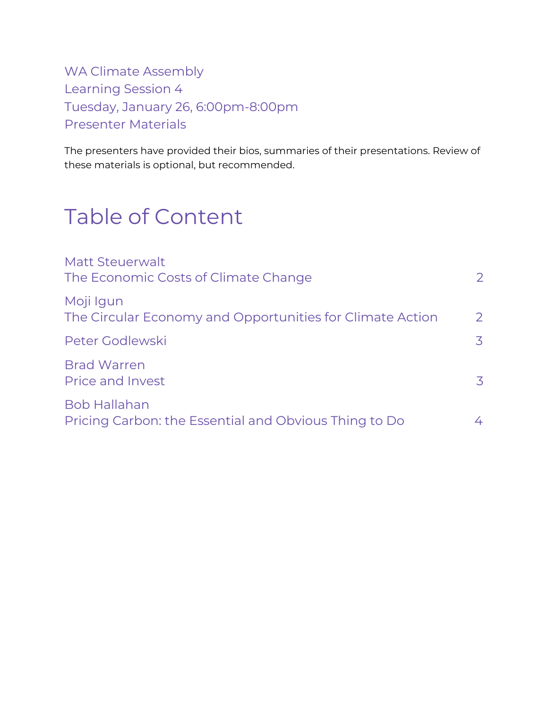WA Climate Assembly Learning Session 4 Tuesday, January 26, 6:00pm-8:00pm Presenter Materials

The presenters have provided their bios, summaries of their presentations. Review of these materials is optional, but recommended.

# Table of Content

| <b>Matt Steuerwalt</b><br>The Economic Costs of Climate Change               | 2              |
|------------------------------------------------------------------------------|----------------|
| Moji Igun<br>The Circular Economy and Opportunities for Climate Action       | $\overline{2}$ |
| Peter Godlewski                                                              | 3              |
| <b>Brad Warren</b><br><b>Price and Invest</b>                                | 3              |
| <b>Bob Hallahan</b><br>Pricing Carbon: the Essential and Obvious Thing to Do | 4              |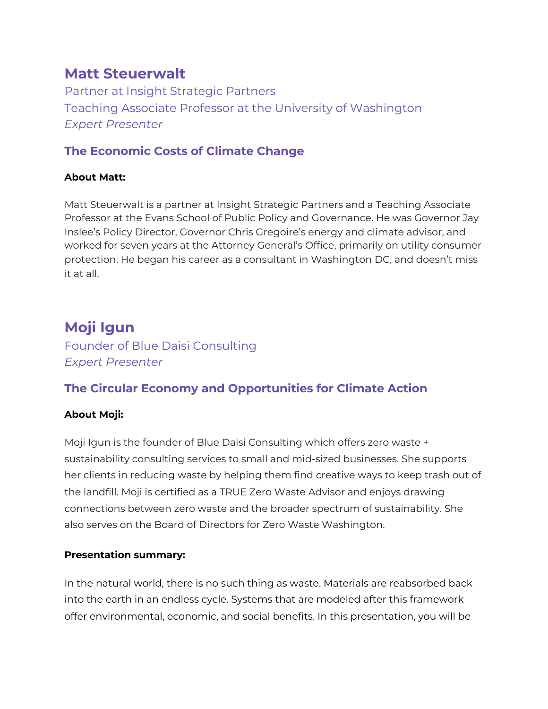## <span id="page-1-0"></span>**Matt Steuerwalt**

Partner at Insight Strategic Partners Teaching Associate Professor at the University of Washington *Expert Presenter*

## <span id="page-1-1"></span>**The Economic Costs of Climate Change**

### **About Matt:**

Matt Steuerwalt is a partner at Insight Strategic Partners and a Teaching Associate Professor at the Evans School of Public Policy and Governance. He was Governor Jay Inslee's Policy Director, Governor Chris Gregoire's energy and climate advisor, and worked for seven years at the Attorney General's Office, primarily on utility consumer protection. He began his career as a consultant in Washington DC, and doesn't miss it at all.

# <span id="page-1-2"></span>**Moji Igun**

Founder of Blue Daisi Consulting *Expert Presenter*

## <span id="page-1-3"></span>**The Circular Economy and Opportunities for Climate Action**

## **About Moji:**

Moji Igun is the founder of Blue Daisi Consulting which offers zero waste + sustainability consulting services to small and mid-sized businesses. She supports her clients in reducing waste by helping them find creative ways to keep trash out of the landfill. Moji is certified as a TRUE Zero Waste Advisor and enjoys drawing connections between zero waste and the broader spectrum of sustainability. She also serves on the Board of Directors for Zero Waste Washington.

### **Presentation summary:**

In the natural world, there is no such thing as waste. Materials are reabsorbed back into the earth in an endless cycle. Systems that are modeled after this framework offer environmental, economic, and social benefits. In this presentation, you will be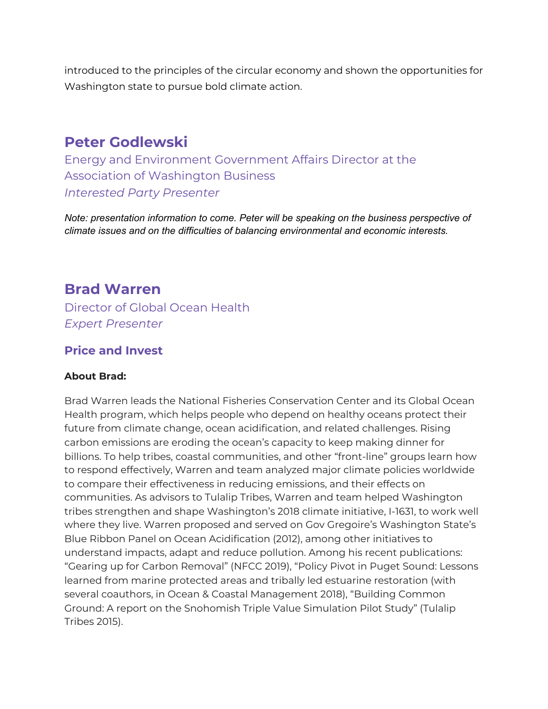introduced to the principles of the circular economy and shown the opportunities for Washington state to pursue bold climate action.

## <span id="page-2-0"></span>**Peter Godlewski**

Energy and Environment Government Affairs Director at the Association of Washington Business *Interested Party Presenter*

*Note: presentation information to come. Peter will be speaking on the business perspective of climate issues and on the difficulties of balancing environmental and economic interests.*

## <span id="page-2-1"></span>**Brad Warren**

Director of Global Ocean Health *Expert Presenter*

## <span id="page-2-2"></span>**Price and Invest**

### **About Brad:**

Brad Warren leads the National Fisheries Conservation Center and its Global Ocean Health program, which helps people who depend on healthy oceans protect their future from climate change, ocean acidification, and related challenges. Rising carbon emissions are eroding the ocean's capacity to keep making dinner for billions. To help tribes, coastal communities, and other "front-line" groups learn how to respond effectively, Warren and team analyzed major climate policies worldwide to compare their effectiveness in reducing emissions, and their effects on communities. As advisors to Tulalip Tribes, Warren and team helped Washington tribes strengthen and shape Washington's 2018 climate initiative, I-1631, to work well where they live. Warren proposed and served on Gov Gregoire's Washington State's Blue Ribbon Panel on Ocean Acidification (2012), among other initiatives to understand impacts, adapt and reduce pollution. Among his recent publications: "Gearing up for Carbon Removal" (NFCC 2019), "Policy Pivot in Puget Sound: Lessons learned from marine protected areas and tribally led estuarine restoration (with several coauthors, in Ocean & Coastal Management 2018), "Building Common Ground: A report on the Snohomish Triple Value Simulation Pilot Study" (Tulalip Tribes 2015).